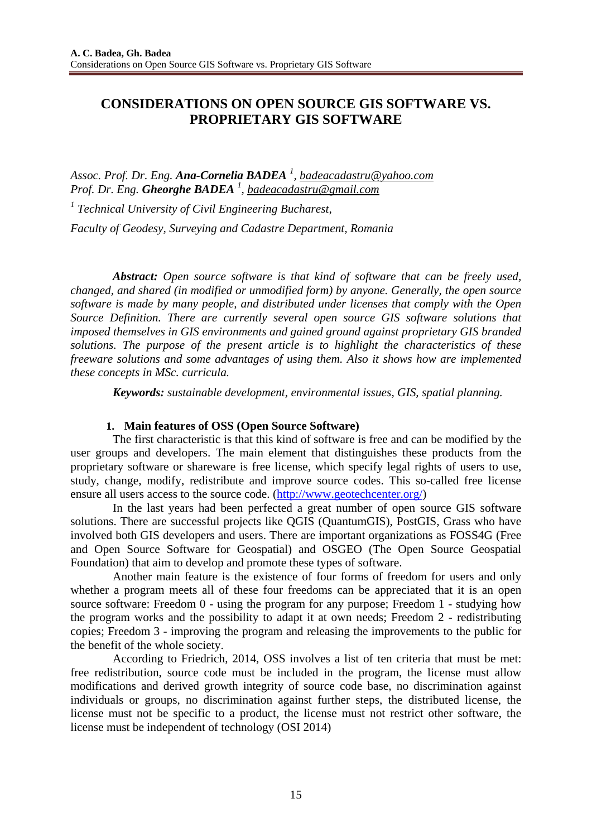# **CONSIDERATIONS ON OPEN SOURCE GIS SOFTWARE VS. PROPRIETARY GIS SOFTWARE**

*Assoc. Prof. Dr. Eng. Ana-Cornelia BADEA <sup>1</sup> , badeacadastru@yahoo.com Prof. Dr. Eng. Gheorghe BADEA <sup>1</sup> , badeacadastru@gmail.com*

*1 Technical University of Civil Engineering Bucharest, Faculty of Geodesy, Surveying and Cadastre Department, Romania*

*Abstract: Open source software is that kind of software that can be freely used, changed, and shared (in modified or unmodified form) by anyone. Generally, the open source software is made by many people, and distributed under licenses that comply with the Open Source Definition. There are currently several open source GIS software solutions that imposed themselves in GIS environments and gained ground against proprietary GIS branded solutions. The purpose of the present article is to highlight the characteristics of these freeware solutions and some advantages of using them. Also it shows how are implemented these concepts in MSc. curricula.* 

*Keywords: sustainable development, environmental issues, GIS, spatial planning.* 

## **1. Main features of OSS (Open Source Software)**

The first characteristic is that this kind of software is free and can be modified by the user groups and developers. The main element that distinguishes these products from the proprietary software or shareware is free license, which specify legal rights of users to use, study, change, modify, redistribute and improve source codes. This so-called free license ensure all users access to the source code. (http://www.geotechcenter.org/)

In the last years had been perfected a great number of open source GIS software solutions. There are successful projects like QGIS (QuantumGIS), PostGIS, Grass who have involved both GIS developers and users. There are important organizations as FOSS4G (Free and Open Source Software for Geospatial) and OSGEO (The Open Source Geospatial Foundation) that aim to develop and promote these types of software.

Another main feature is the existence of four forms of freedom for users and only whether a program meets all of these four freedoms can be appreciated that it is an open source software: Freedom 0 - using the program for any purpose; Freedom 1 - studying how the program works and the possibility to adapt it at own needs; Freedom 2 - redistributing copies; Freedom 3 - improving the program and releasing the improvements to the public for the benefit of the whole society.

According to Friedrich, 2014, OSS involves a list of ten criteria that must be met: free redistribution, source code must be included in the program, the license must allow modifications and derived growth integrity of source code base, no discrimination against individuals or groups, no discrimination against further steps, the distributed license, the license must not be specific to a product, the license must not restrict other software, the license must be independent of technology (OSI 2014)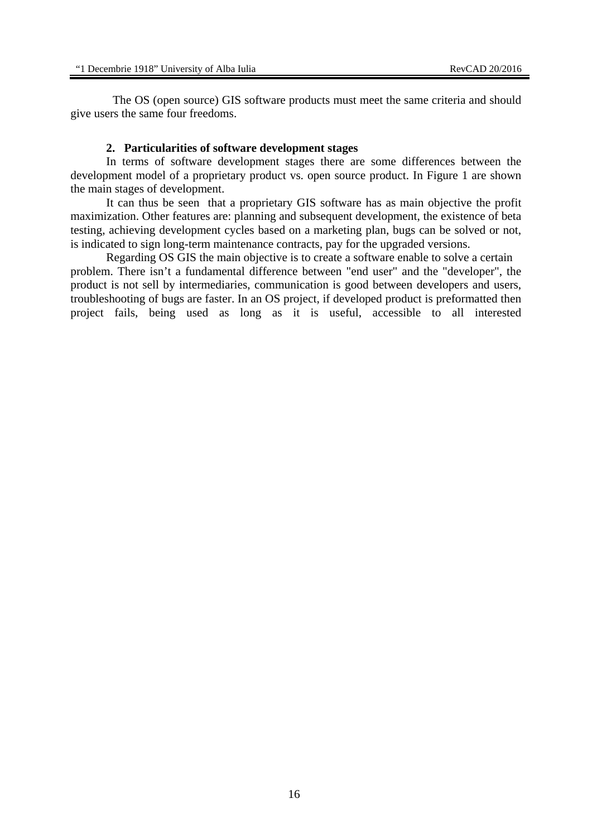The OS (open source) GIS software products must meet the same criteria and should give users the same four freedoms.

### **2. Particularities of software development stages**

In terms of software development stages there are some differences between the development model of a proprietary product vs. open source product. In Figure 1 are shown the main stages of development.

It can thus be seen that a proprietary GIS software has as main objective the profit maximization. Other features are: planning and subsequent development, the existence of beta testing, achieving development cycles based on a marketing plan, bugs can be solved or not, is indicated to sign long-term maintenance contracts, pay for the upgraded versions.

Regarding OS GIS the main objective is to create a software enable to solve a certain problem. There isn't a fundamental difference between "end user" and the "developer", the product is not sell by intermediaries, communication is good between developers and users, troubleshooting of bugs are faster. In an OS project, if developed product is preformatted then project fails, being used as long as it is useful, accessible to all interested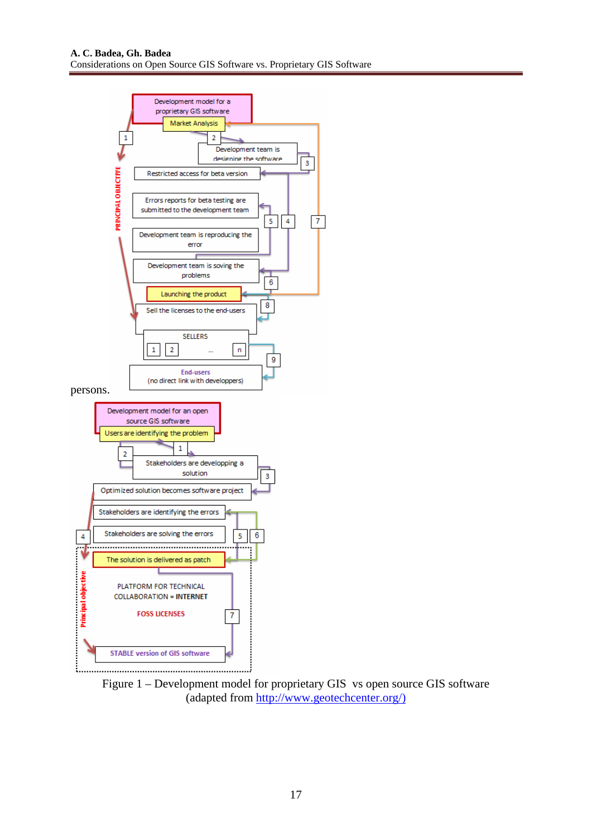

Figure 1 – Development model for proprietary GIS vs open source GIS software (adapted from http://www.geotechcenter.org/)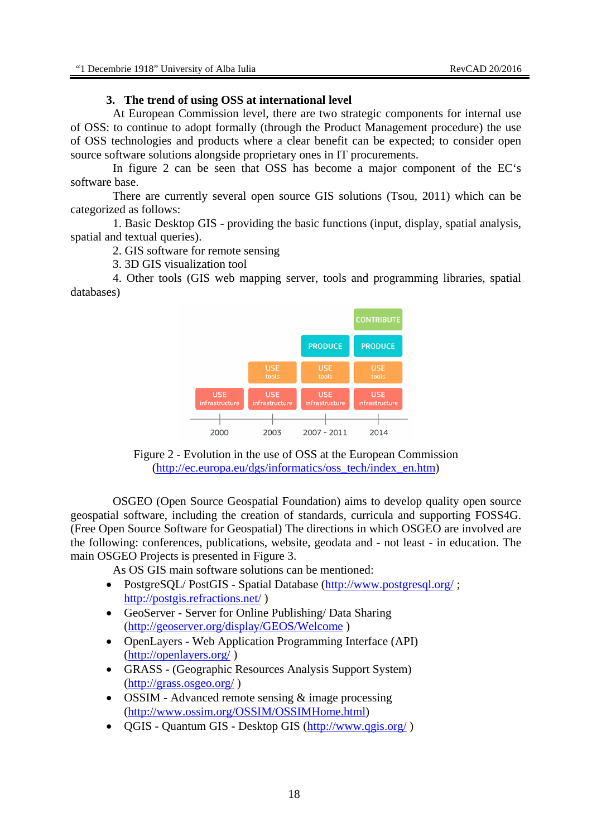## **3. The trend of using OSS at international level**

At European Commission level, there are two strategic components for internal use of OSS: to continue to adopt formally (through the Product Management procedure) the use of OSS technologies and products where a clear benefit can be expected; to consider open source software solutions alongside proprietary ones in IT procurements.

In figure 2 can be seen that OSS has become a major component of the EC's software base.

There are currently several open source GIS solutions (Tsou, 2011) which can be categorized as follows:

1. Basic Desktop GIS - providing the basic functions (input, display, spatial analysis, spatial and textual queries).

2. GIS software for remote sensing

3. 3D GIS visualization tool

4. Other tools (GIS web mapping server, tools and programming libraries, spatial databases)



Figure 2 - Evolution in the use of OSS at the European Commission (http://ec.europa.eu/dgs/informatics/oss\_tech/index\_en.htm)

OSGEO (Open Source Geospatial Foundation) aims to develop quality open source geospatial software, including the creation of standards, curricula and supporting FOSS4G. (Free Open Source Software for Geospatial) The directions in which OSGEO are involved are the following: conferences, publications, website, geodata and - not least - in education. The main OSGEO Projects is presented in Figure 3.

As OS GIS main software solutions can be mentioned:

- PostgreSQL/PostGIS Spatial Database (http://www.postgresql.org/; http://postgis.refractions.net/ )
- GeoServer Server for Online Publishing/Data Sharing (http://geoserver.org/display/GEOS/Welcome )
- OpenLayers Web Application Programming Interface (API) (http://openlayers.org/ )
- GRASS (Geographic Resources Analysis Support System) (http://grass.osgeo.org/ )
- OSSIM Advanced remote sensing & image processing (http://www.ossim.org/OSSIM/OSSIMHome.html)
- OGIS Quantum GIS Desktop GIS (http://www.qgis.org/)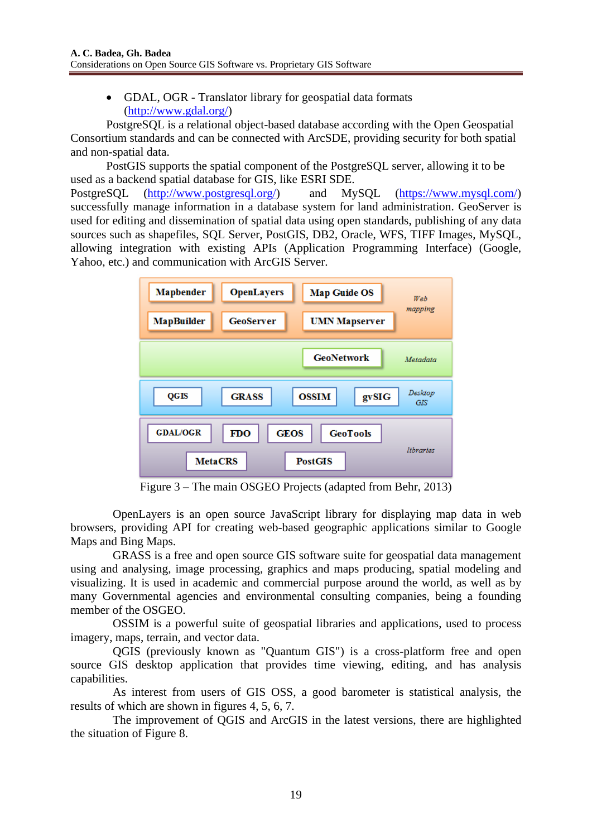• GDAL, OGR - Translator library for geospatial data formats (http://www.gdal.org/)

PostgreSQL is a relational object-based database according with the Open Geospatial Consortium standards and can be connected with ArcSDE, providing security for both spatial and non-spatial data.

PostGIS supports the spatial component of the PostgreSQL server, allowing it to be used as a backend spatial database for GIS, like ESRI SDE. PostgreSQL (http://www.postgresql.org/) and MySQL (https://www.mysql.com/) successfully manage information in a database system for land administration. GeoServer is used for editing and dissemination of spatial data using open standards, publishing of any data sources such as shapefiles, SOL Server, PostGIS, DB2, Oracle, WFS, TIFF Images, MySOL, allowing integration with existing APIs (Application Programming Interface) (Google, Yahoo, etc.) and communication with ArcGIS Server.



Figure 3 – The main OSGEO Projects (adapted from Behr, 2013)

OpenLayers is an open source JavaScript library for displaying map data in web browsers, providing API for creating web-based geographic applications similar to Google Maps and Bing Maps.

GRASS is a free and open source GIS software suite for geospatial data management using and analysing, image processing, graphics and maps producing, spatial modeling and visualizing. It is used in academic and commercial purpose around the world, as well as by many Governmental agencies and environmental consulting companies, being a founding member of the OSGEO.

OSSIM is a powerful suite of geospatial libraries and applications, used to process imagery, maps, terrain, and vector data.

QGIS (previously known as "Quantum GIS") is a cross-platform free and open source GIS desktop application that provides time viewing, editing, and has analysis capabilities.

As interest from users of GIS OSS, a good barometer is statistical analysis, the results of which are shown in figures 4, 5, 6, 7.

The improvement of QGIS and ArcGIS in the latest versions, there are highlighted the situation of Figure 8.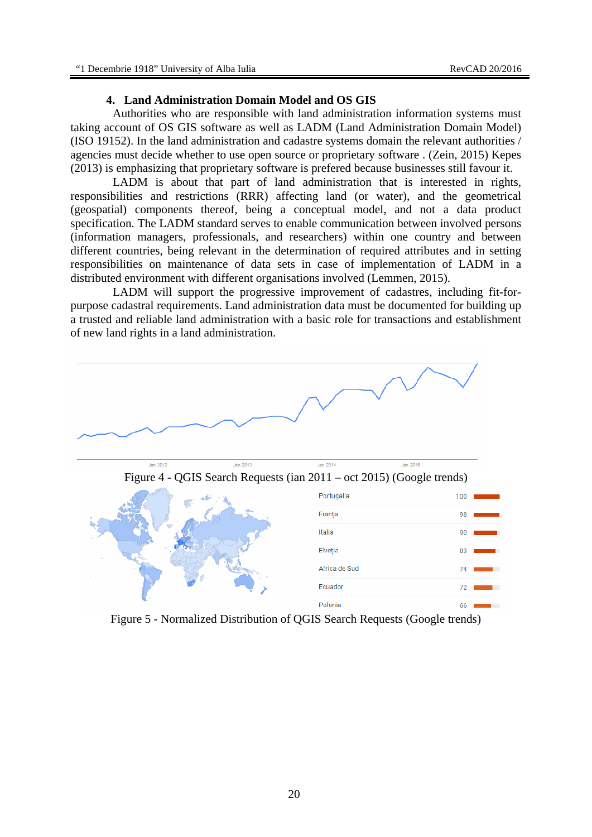## **4. Land Administration Domain Model and OS GIS**

Authorities who are responsible with land administration information systems must taking account of OS GIS software as well as LADM (Land Administration Domain Model) (ISO 19152). In the land administration and cadastre systems domain the relevant authorities / agencies must decide whether to use open source or proprietary software . (Zein, 2015) Kepes (2013) is emphasizing that proprietary software is prefered because businesses still favour it.

LADM is about that part of land administration that is interested in rights, responsibilities and restrictions (RRR) affecting land (or water), and the geometrical (geospatial) components thereof, being a conceptual model, and not a data product specification. The LADM standard serves to enable communication between involved persons (information managers, professionals, and researchers) within one country and between different countries, being relevant in the determination of required attributes and in setting responsibilities on maintenance of data sets in case of implementation of LADM in a distributed environment with different organisations involved (Lemmen, 2015).

LADM will support the progressive improvement of cadastres, including fit-forpurpose cadastral requirements. Land administration data must be documented for building up a trusted and reliable land administration with a basic role for transactions and establishment of new land rights in a land administration.



Figure 5 - Normalized Distribution of QGIS Search Requests (Google trends)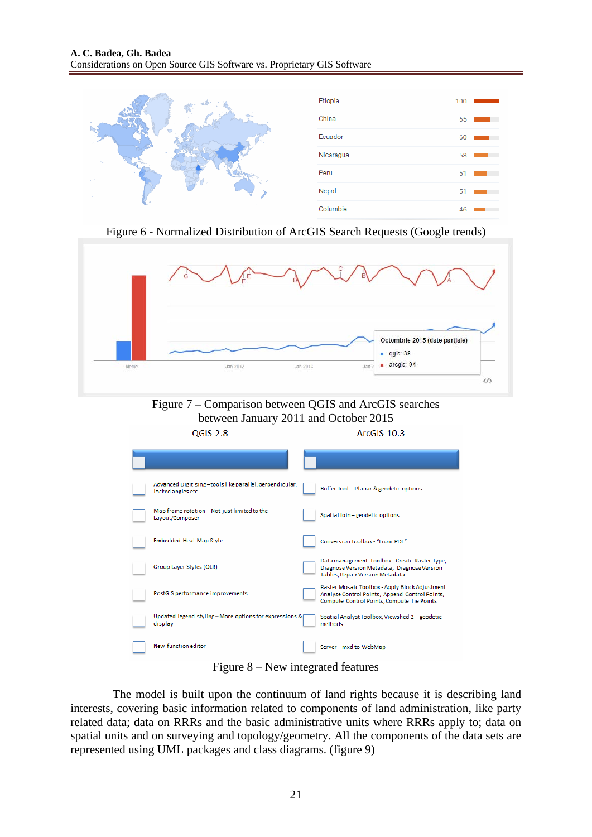|  | Etiopia   | 100 |
|--|-----------|-----|
|  | China     | 65  |
|  | Ecuador   | 60  |
|  | Nicaragua | 58  |
|  | Peru      | 51  |
|  | Nepal     | 51  |
|  | Columbia  | 46  |

Figure 6 - Normalized Distribution of ArcGIS Search Requests (Google trends)



Figure 8 – New integrated features

The model is built upon the continuum of land rights because it is describing land interests, covering basic information related to components of land administration, like party related data; data on RRRs and the basic administrative units where RRRs apply to; data on spatial units and on surveying and topology/geometry. All the components of the data sets are represented using UML packages and class diagrams. (figure 9)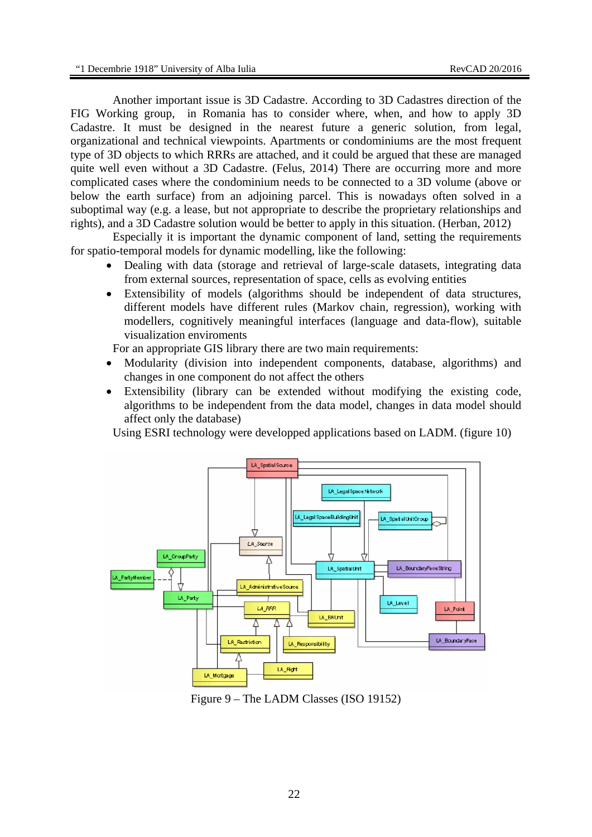Another important issue is 3D Cadastre. According to 3D Cadastres direction of the FIG Working group, in Romania has to consider where, when, and how to apply 3D Cadastre. It must be designed in the nearest future a generic solution, from legal, organizational and technical viewpoints. Apartments or condominiums are the most frequent type of 3D objects to which RRRs are attached, and it could be argued that these are managed quite well even without a 3D Cadastre. (Felus, 2014) There are occurring more and more complicated cases where the condominium needs to be connected to a 3D volume (above or below the earth surface) from an adjoining parcel. This is nowadays often solved in a suboptimal way (e.g. a lease, but not appropriate to describe the proprietary relationships and rights), and a 3D Cadastre solution would be better to apply in this situation. (Herban, 2012)

Especially it is important the dynamic component of land, setting the requirements for spatio-temporal models for dynamic modelling, like the following:

- Dealing with data (storage and retrieval of large-scale datasets, integrating data from external sources, representation of space, cells as evolving entities
- Extensibility of models (algorithms should be independent of data structures, different models have different rules (Markov chain, regression), working with modellers, cognitively meaningful interfaces (language and data-flow), suitable visualization enviroments

For an appropriate GIS library there are two main requirements:

- Modularity (division into independent components, database, algorithms) and changes in one component do not affect the others
- Extensibility (library can be extended without modifying the existing code, algorithms to be independent from the data model, changes in data model should affect only the database)

Using ESRI technology were developped applications based on LADM. (figure 10)



Figure 9 – The LADM Classes (ISO 19152)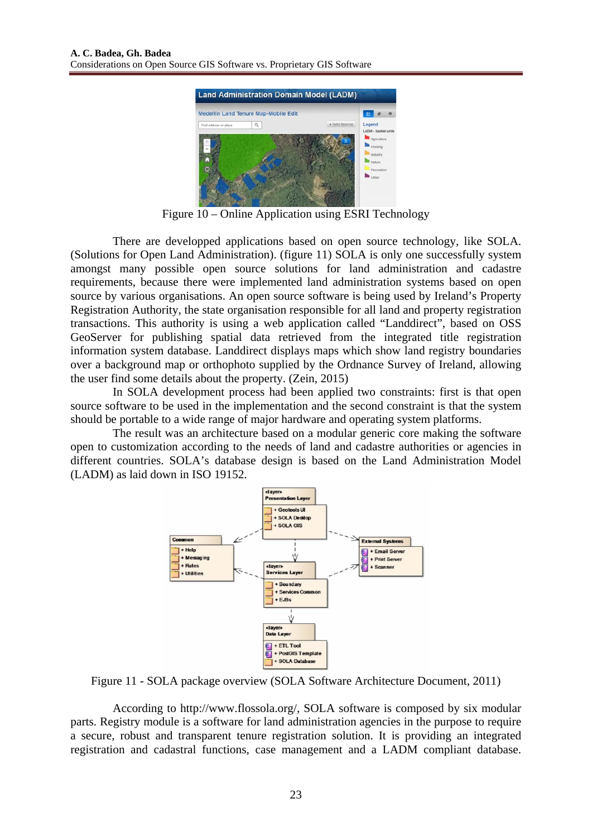

Figure 10 – Online Application using ESRI Technology

There are developped applications based on open source technology, like SOLA. (Solutions for Open Land Administration). (figure 11) SOLA is only one successfully system amongst many possible open source solutions for land administration and cadastre requirements, because there were implemented land administration systems based on open source by various organisations. An open source software is being used by Ireland's Property Registration Authority, the state organisation responsible for all land and property registration transactions. This authority is using a web application called "Landdirect", based on OSS GeoServer for publishing spatial data retrieved from the integrated title registration information system database. Landdirect displays maps which show land registry boundaries over a background map or orthophoto supplied by the Ordnance Survey of Ireland, allowing the user find some details about the property. (Zein, 2015)

In SOLA development process had been applied two constraints: first is that open source software to be used in the implementation and the second constraint is that the system should be portable to a wide range of major hardware and operating system platforms.

The result was an architecture based on a modular generic core making the software open to customization according to the needs of land and cadastre authorities or agencies in different countries. SOLA's database design is based on the Land Administration Model (LADM) as laid down in ISO 19152.



Figure 11 - SOLA package overview (SOLA Software Architecture Document, 2011)

According to http://www.flossola.org/, SOLA software is composed by six modular parts. Registry module is a software for land administration agencies in the purpose to require a secure, robust and transparent tenure registration solution. It is providing an integrated registration and cadastral functions, case management and a LADM compliant database.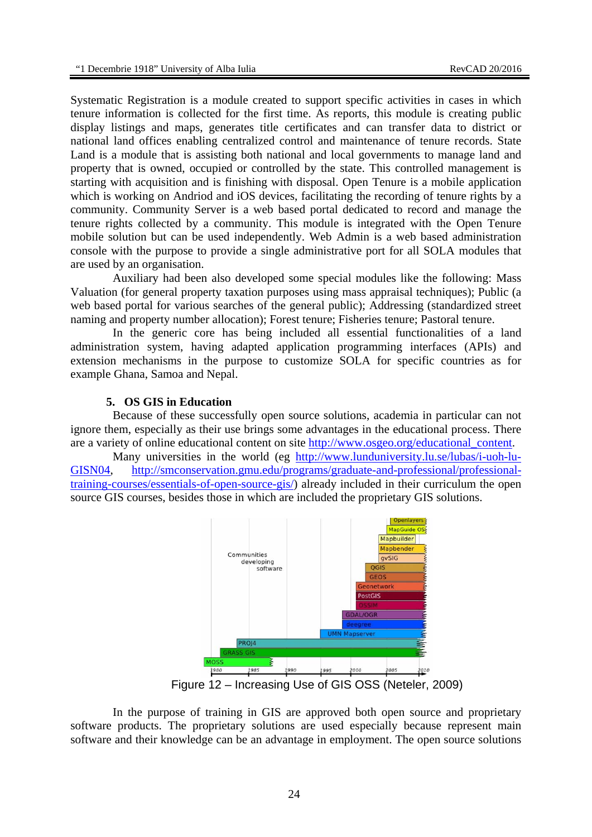Systematic Registration is a module created to support specific activities in cases in which tenure information is collected for the first time. As reports, this module is creating public display listings and maps, generates title certificates and can transfer data to district or national land offices enabling centralized control and maintenance of tenure records. State Land is a module that is assisting both national and local governments to manage land and property that is owned, occupied or controlled by the state. This controlled management is starting with acquisition and is finishing with disposal. Open Tenure is a mobile application which is working on Andriod and iOS devices, facilitating the recording of tenure rights by a community. Community Server is a web based portal dedicated to record and manage the tenure rights collected by a community. This module is integrated with the Open Tenure mobile solution but can be used independently. Web Admin is a web based administration console with the purpose to provide a single administrative port for all SOLA modules that are used by an organisation.

Auxiliary had been also developed some special modules like the following: Mass Valuation (for general property taxation purposes using mass appraisal techniques); Public (a web based portal for various searches of the general public); Addressing (standardized street naming and property number allocation); Forest tenure; Fisheries tenure; Pastoral tenure.

In the generic core has being included all essential functionalities of a land administration system, having adapted application programming interfaces (APIs) and extension mechanisms in the purpose to customize SOLA for specific countries as for example Ghana, Samoa and Nepal.

### **5. OS GIS in Education**

Because of these successfully open source solutions, academia in particular can not ignore them, especially as their use brings some advantages in the educational process. There are a variety of online educational content on site http://www.osgeo.org/educational\_content.

Many universities in the world (eg http://www.lunduniversity.lu.se/lubas/i-uoh-lu-GISN04, http://smconservation.gmu.edu/programs/graduate-and-professional/professionaltraining-courses/essentials-of-open-source-gis/) already included in their curriculum the open source GIS courses, besides those in which are included the proprietary GIS solutions.



Figure 12 – Increasing Use of GIS OSS (Neteler, 2009)

In the purpose of training in GIS are approved both open source and proprietary software products. The proprietary solutions are used especially because represent main software and their knowledge can be an advantage in employment. The open source solutions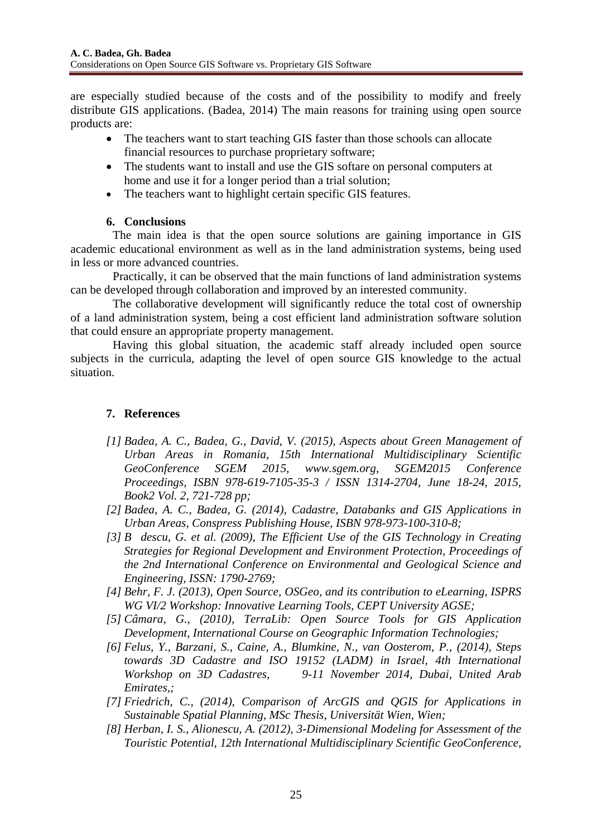are especially studied because of the costs and of the possibility to modify and freely distribute GIS applications. (Badea, 2014) The main reasons for training using open source products are:

- The teachers want to start teaching GIS faster than those schools can allocate financial resources to purchase proprietary software;
- The students want to install and use the GIS softare on personal computers at home and use it for a longer period than a trial solution;
- The teachers want to highlight certain specific GIS features.

## **6. Conclusions**

The main idea is that the open source solutions are gaining importance in GIS academic educational environment as well as in the land administration systems, being used in less or more advanced countries.

Practically, it can be observed that the main functions of land administration systems can be developed through collaboration and improved by an interested community.

The collaborative development will significantly reduce the total cost of ownership of a land administration system, being a cost efficient land administration software solution that could ensure an appropriate property management.

Having this global situation, the academic staff already included open source subjects in the curricula, adapting the level of open source GIS knowledge to the actual situation.

# **7. References**

- *[1] Badea, A. C., Badea, G., David, V. (2015), Aspects about Green Management of Urban Areas in Romania, 15th International Multidisciplinary Scientific GeoConference SGEM 2015, www.sgem.org, SGEM2015 Conference Proceedings, ISBN 978-619-7105-35-3 / ISSN 1314-2704, June 18-24, 2015, Book2 Vol. 2, 721-728 pp;*
- *[2] Badea, A. C., Badea, G. (2014), Cadastre, Databanks and GIS Applications in Urban Areas, Conspress Publishing House, ISBN 978-973-100-310-8;*
- [3] *B* descu, G. et al. (2009), The Efficient Use of the GIS Technology in Creating *Strategies for Regional Development and Environment Protection, Proceedings of the 2nd International Conference on Environmental and Geological Science and Engineering, ISSN: 1790-2769;*
- *[4] Behr, F. J. (2013), Open Source, OSGeo, and its contribution to eLearning, ISPRS WG VI/2 Workshop: Innovative Learning Tools, CEPT University AGSE;*
- *[5] Câmara, G., (2010), TerraLib: Open Source Tools for GIS Application Development, International Course on Geographic Information Technologies;*
- *[6] Felus, Y., Barzani, S., Caine, A., Blumkine, N., van Oosterom, P., (2014), Steps towards 3D Cadastre and ISO 19152 (LADM) in Israel, 4th International Workshop on 3D Cadastres, 9-11 November 2014, Dubai, United Arab Emirates,;*
- *[7] Friedrich, C., (2014), Comparison of ArcGIS and QGIS for Applications in Sustainable Spatial Planning, MSc Thesis, Universität Wien, Wien;*
- *[8] Herban, I. S., Alionescu, A. (2012), 3-Dimensional Modeling for Assessment of the Touristic Potential, 12th International Multidisciplinary Scientific GeoConference,*